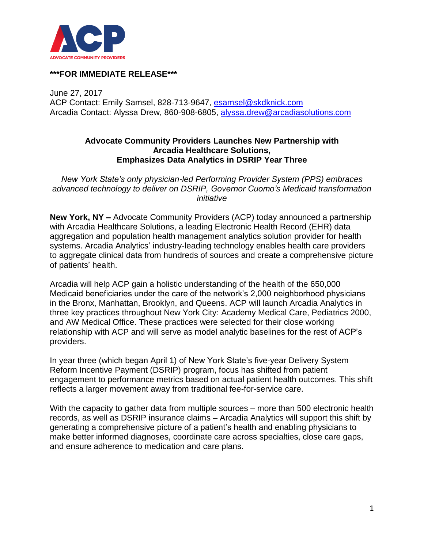

## **\*\*\*FOR IMMEDIATE RELEASE\*\*\***

June 27, 2017 ACP Contact: Emily Samsel, 828-713-9647, [esamsel@skdknick.com](mailto:esamsel@skdknick.com) Arcadia Contact: Alyssa Drew, 860-908-6805, [alyssa.drew@arcadiasolutions.com](mailto:alyssa.drew@arcadiasolutions.com)

### **Advocate Community Providers Launches New Partnership with Arcadia Healthcare Solutions, Emphasizes Data Analytics in DSRIP Year Three**

*New York State's only physician-led Performing Provider System (PPS) embraces advanced technology to deliver on DSRIP, Governor Cuomo's Medicaid transformation initiative*

**New York, NY –** Advocate Community Providers (ACP) today announced a partnership with Arcadia Healthcare Solutions, a leading Electronic Health Record (EHR) data aggregation and population health management analytics solution provider for health systems. Arcadia Analytics' industry-leading technology enables health care providers to aggregate clinical data from hundreds of sources and create a comprehensive picture of patients' health.

Arcadia will help ACP gain a holistic understanding of the health of the 650,000 Medicaid beneficiaries under the care of the network's 2,000 neighborhood physicians in the Bronx, Manhattan, Brooklyn, and Queens. ACP will launch Arcadia Analytics in three key practices throughout New York City: Academy Medical Care, Pediatrics 2000, and AW Medical Office. These practices were selected for their close working relationship with ACP and will serve as model analytic baselines for the rest of ACP's providers.

In year three (which began April 1) of New York State's five-year Delivery System Reform Incentive Payment (DSRIP) program, focus has shifted from patient engagement to performance metrics based on actual patient health outcomes. This shift reflects a larger movement away from traditional fee-for-service care.

With the capacity to gather data from multiple sources – more than 500 electronic health records, as well as DSRIP insurance claims – Arcadia Analytics will support this shift by generating a comprehensive picture of a patient's health and enabling physicians to make better informed diagnoses, coordinate care across specialties, close care gaps, and ensure adherence to medication and care plans.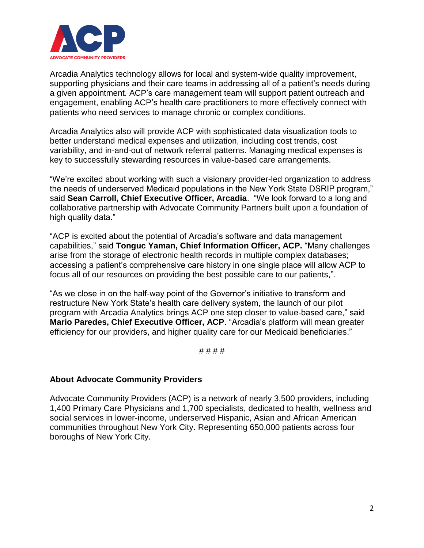

Arcadia Analytics technology allows for local and system-wide quality improvement, supporting physicians and their care teams in addressing all of a patient's needs during a given appointment. ACP's care management team will support patient outreach and engagement, enabling ACP's health care practitioners to more effectively connect with patients who need services to manage chronic or complex conditions.

Arcadia Analytics also will provide ACP with sophisticated data visualization tools to better understand medical expenses and utilization, including cost trends, cost variability, and in-and-out of network referral patterns. Managing medical expenses is key to successfully stewarding resources in value-based care arrangements.

"We're excited about working with such a visionary provider-led organization to address the needs of underserved Medicaid populations in the New York State DSRIP program," said **Sean Carroll, Chief Executive Officer, Arcadia**. "We look forward to a long and collaborative partnership with Advocate Community Partners built upon a foundation of high quality data."

"ACP is excited about the potential of Arcadia's software and data management capabilities," said **Tonguc Yaman, Chief Information Officer, ACP.** "Many challenges arise from the storage of electronic health records in multiple complex databases; accessing a patient's comprehensive care history in one single place will allow ACP to focus all of our resources on providing the best possible care to our patients,".

"As we close in on the half-way point of the Governor's initiative to transform and restructure New York State's health care delivery system, the launch of our pilot program with Arcadia Analytics brings ACP one step closer to value-based care," said **Mario Paredes, Chief Executive Officer, ACP**. "Arcadia's platform will mean greater efficiency for our providers, and higher quality care for our Medicaid beneficiaries."

#### # # # #

# **About Advocate Community Providers**

Advocate Community Providers (ACP) is a network of nearly 3,500 providers, including 1,400 Primary Care Physicians and 1,700 specialists, dedicated to health, wellness and social services in lower-income, underserved Hispanic, Asian and African American communities throughout New York City. Representing 650,000 patients across four boroughs of New York City.